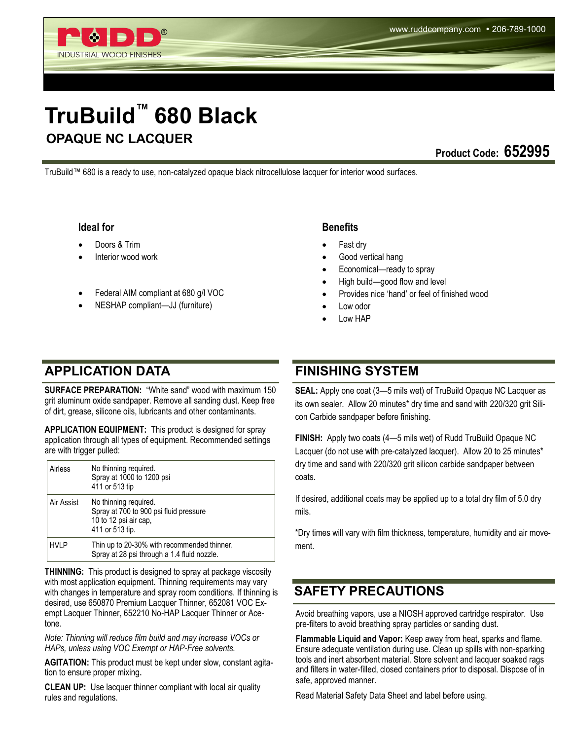# **TruBuild™ 680 Black OPAQUE NC LACQUER**

**Product Code: 652995** 

TruBuild™ 680 is a ready to use, non-catalyzed opaque black nitrocellulose lacquer for interior wood surfaces.

### **Ideal for**

Doors & Trim

INDUSTRIAL WOOD FINISHES

- Interior wood work
- Federal AIM compliant at 680 g/l VOC
- NESHAP compliant—JJ (furniture)

### **APPLICATION DATA FINISHING SYSTEM**

**SURFACE PREPARATION:** "White sand" wood with maximum 150 grit aluminum oxide sandpaper. Remove all sanding dust. Keep free of dirt, grease, silicone oils, lubricants and other contaminants.

**APPLICATION EQUIPMENT:** This product is designed for spray application through all types of equipment. Recommended settings are with trigger pulled:

| Airless     | No thinning required.<br>Spray at 1000 to 1200 psi<br>411 or 513 tip                                        |
|-------------|-------------------------------------------------------------------------------------------------------------|
| Air Assist  | No thinning required.<br>Spray at 700 to 900 psi fluid pressure<br>10 to 12 psi air cap,<br>411 or 513 tip. |
| <b>HVLP</b> | Thin up to 20-30% with recommended thinner.<br>Spray at 28 psi through a 1.4 fluid nozzle.                  |

**THINNING:** This product is designed to spray at package viscosity with most application equipment. Thinning requirements may vary with changes in temperature and spray room conditions. If thinning is desired, use 650870 Premium Lacquer Thinner, 652081 VOC Exempt Lacquer Thinner, 652210 No-HAP Lacquer Thinner or Acetone.

*Note: Thinning will reduce film build and may increase VOCs or HAPs, unless using VOC Exempt or HAP-Free solvents.*

**AGITATION:** This product must be kept under slow, constant agitation to ensure proper mixing.

**CLEAN UP:** Use lacquer thinner compliant with local air quality rules and regulations.

### **Benefits**

- Fast dry
- Good vertical hang
- Economical—ready to spray
- High build—good flow and level
- Provides nice 'hand' or feel of finished wood
- Low odor
- Low HAP

**SEAL:** Apply one coat (3—5 mils wet) of TruBuild Opaque NC Lacquer as its own sealer. Allow 20 minutes\* dry time and sand with 220/320 grit Silicon Carbide sandpaper before finishing.

**FINISH:** Apply two coats (4—5 mils wet) of Rudd TruBuild Opaque NC Lacquer (do not use with pre-catalyzed lacquer). Allow 20 to 25 minutes\* dry time and sand with 220/320 grit silicon carbide sandpaper between coats.

If desired, additional coats may be applied up to a total dry film of 5.0 dry mils.

\*Dry times will vary with film thickness, temperature, humidity and air movement.

### **SAFETY PRECAUTIONS**

Avoid breathing vapors, use a NIOSH approved cartridge respirator. Use pre-filters to avoid breathing spray particles or sanding dust.

**Flammable Liquid and Vapor:** Keep away from heat, sparks and flame. Ensure adequate ventilation during use. Clean up spills with non-sparking tools and inert absorbent material. Store solvent and lacquer soaked rags and filters in water-filled, closed containers prior to disposal. Dispose of in safe, approved manner.

Read Material Safety Data Sheet and label before using.